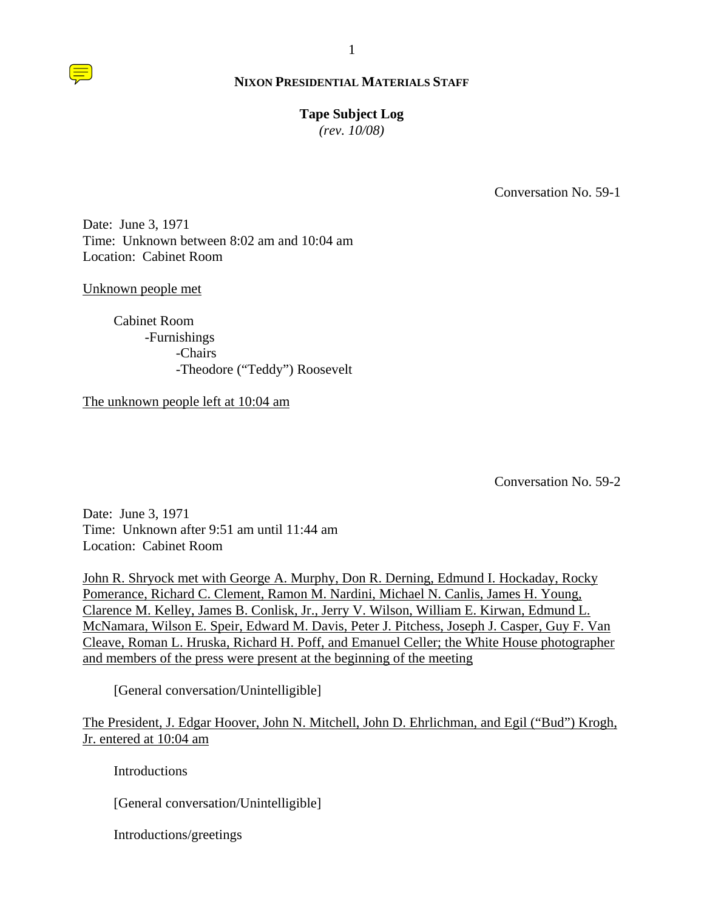1

# **Tape Subject Log**

*(rev. 10/08)*

Conversation No. 59-1

Date: June 3, 1971 Time: Unknown between 8:02 am and 10:04 am Location: Cabinet Room

## Unknown people met

 Cabinet Room -Furnishings -Chairs -Theodore ("Teddy") Roosevelt

The unknown people left at 10:04 am

Conversation No. 59-2

Date: June 3, 1971 Time: Unknown after 9:51 am until 11:44 am Location: Cabinet Room

John R. Shryock met with George A. Murphy, Don R. Derning, Edmund I. Hockaday, Rocky Pomerance, Richard C. Clement, Ramon M. Nardini, Michael N. Canlis, James H. Young, Clarence M. Kelley, James B. Conlisk, Jr., Jerry V. Wilson, William E. Kirwan, Edmund L. McNamara, Wilson E. Speir, Edward M. Davis, Peter J. Pitchess, Joseph J. Casper, Guy F. Van Cleave, Roman L. Hruska, Richard H. Poff, and Emanuel Celler; the White House photographer and members of the press were present at the beginning of the meeting

[General conversation/Unintelligible]

The President, J. Edgar Hoover, John N. Mitchell, John D. Ehrlichman, and Egil ("Bud") Krogh, Jr. entered at 10:04 am

**Introductions** 

[General conversation/Unintelligible]

Introductions/greetings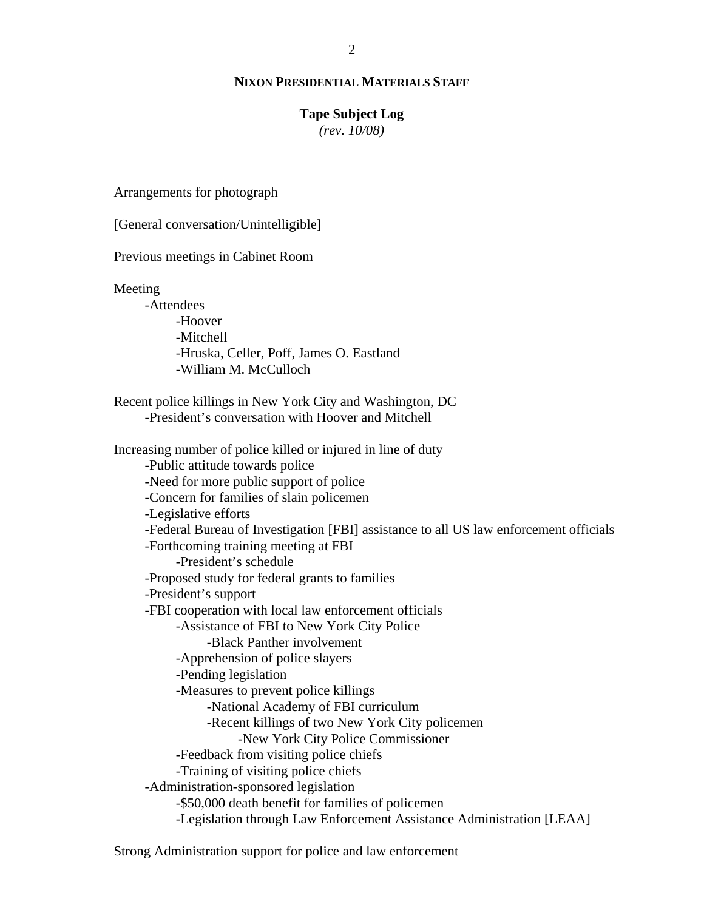### **Tape Subject Log**

*(rev. 10/08)*

Arrangements for photograph

[General conversation/Unintelligible]

Previous meetings in Cabinet Room

Meeting

 -Attendees -Hoover -Mitchell -Hruska, Celler, Poff, James O. Eastland -William M. McCulloch

 Recent police killings in New York City and Washington, DC -President's conversation with Hoover and Mitchell

 Increasing number of police killed or injured in line of duty -Public attitude towards police -Need for more public support of police -Concern for families of slain policemen -Legislative efforts -Federal Bureau of Investigation [FBI] assistance to all US law enforcement officials -Forthcoming training meeting at FBI -President's schedule -Proposed study for federal grants to families -President's support -FBI cooperation with local law enforcement officials -Assistance of FBI to New York City Police -Black Panther involvement -Apprehension of police slayers -Pending legislation -Measures to prevent police killings -National Academy of FBI curriculum -Recent killings of two New York City policemen -New York City Police Commissioner -Feedback from visiting police chiefs -Training of visiting police chiefs -Administration-sponsored legislation -\$50,000 death benefit for families of policemen -Legislation through Law Enforcement Assistance Administration [LEAA]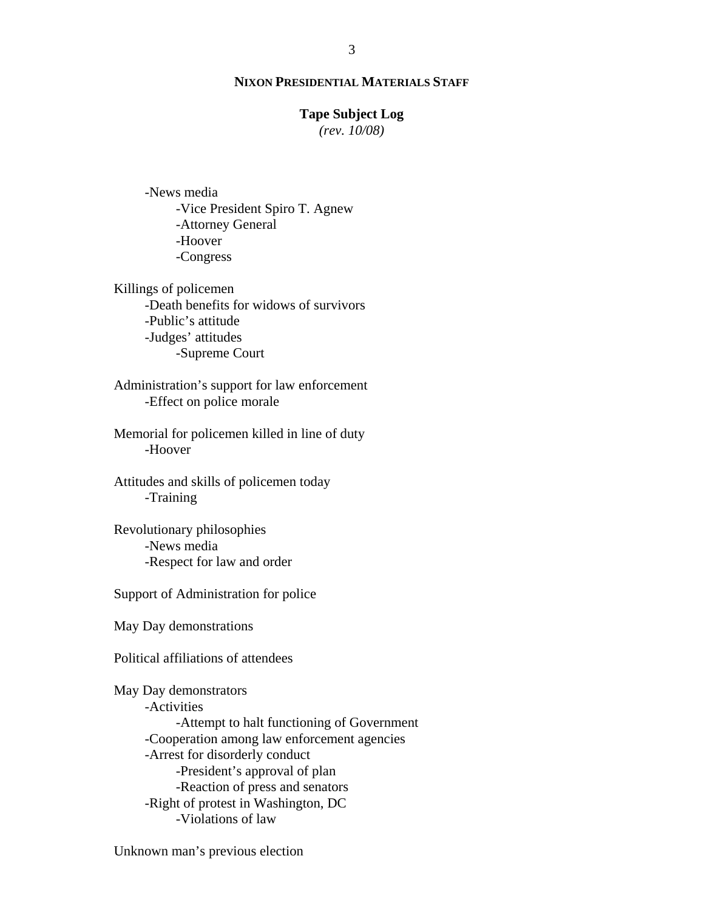### **Tape Subject Log**

*(rev. 10/08)*

 -News media -Vice President Spiro T. Agnew -Attorney General -Hoover -Congress

 Killings of policemen -Death benefits for widows of survivors -Public's attitude -Judges' attitudes -Supreme Court

 Administration's support for law enforcement -Effect on police morale

 Memorial for policemen killed in line of duty -Hoover

 Attitudes and skills of policemen today -Training

 Revolutionary philosophies -News media -Respect for law and order

Support of Administration for police

May Day demonstrations

Political affiliations of attendees

 May Day demonstrators -Activities -Attempt to halt functioning of Government -Cooperation among law enforcement agencies -Arrest for disorderly conduct -President's approval of plan -Reaction of press and senators -Right of protest in Washington, DC -Violations of law

Unknown man's previous election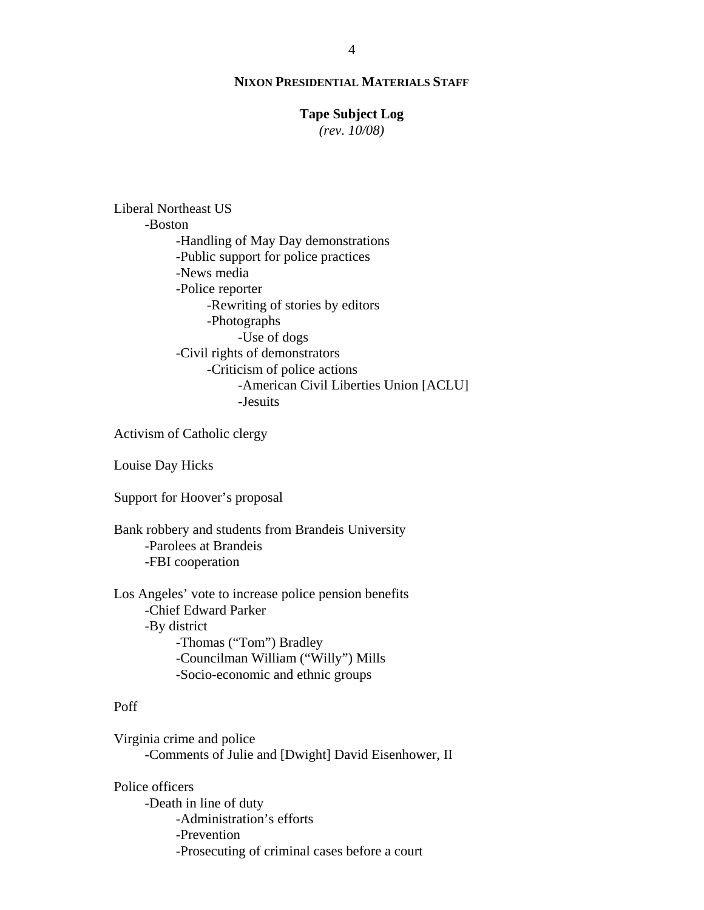## **Tape Subject Log**

*(rev. 10/08)*

 Liberal Northeast US -Boston -Handling of May Day demonstrations -Public support for police practices -News media -Police reporter -Rewriting of stories by editors -Photographs -Use of dogs -Civil rights of demonstrators -Criticism of police actions -American Civil Liberties Union [ACLU] -Jesuits

Activism of Catholic clergy

Louise Day Hicks

Support for Hoover's proposal

 Bank robbery and students from Brandeis University -Parolees at Brandeis -FBI cooperation

 Los Angeles' vote to increase police pension benefits -Chief Edward Parker -By district -Thomas ("Tom") Bradley -Councilman William ("Willy") Mills -Socio-economic and ethnic groups

## Poff

 Virginia crime and police -Comments of Julie and [Dwight] David Eisenhower, II

 Police officers -Death in line of duty -Administration's efforts -Prevention -Prosecuting of criminal cases before a court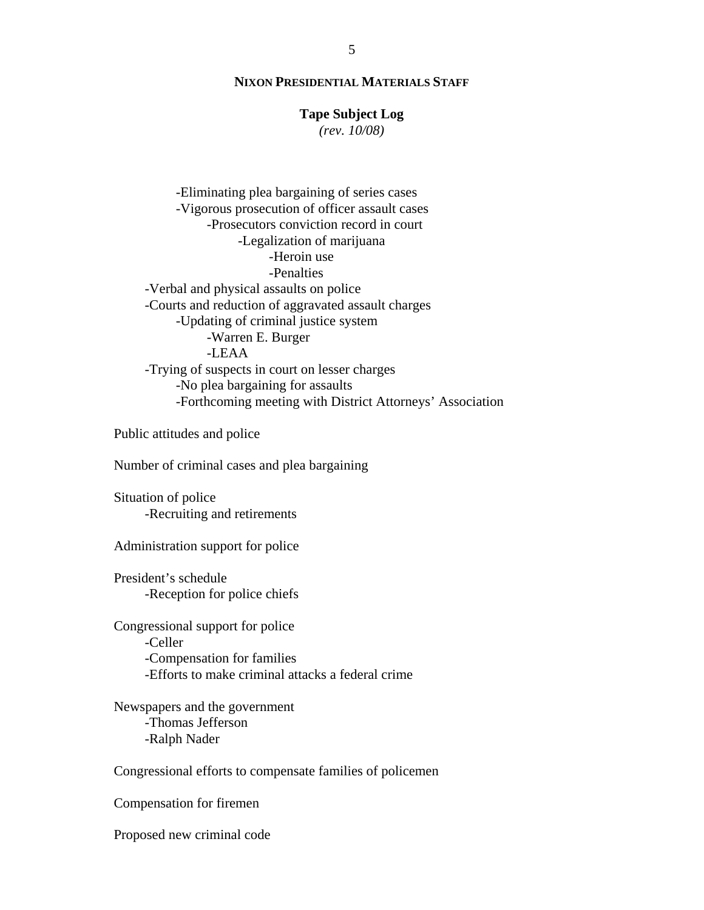## **Tape Subject Log**

*(rev. 10/08)*

 -Eliminating plea bargaining of series cases -Vigorous prosecution of officer assault cases -Prosecutors conviction record in court -Legalization of marijuana -Heroin use -Penalties -Verbal and physical assaults on police -Courts and reduction of aggravated assault charges -Updating of criminal justice system -Warren E. Burger -LEAA -Trying of suspects in court on lesser charges -No plea bargaining for assaults -Forthcoming meeting with District Attorneys' Association

Public attitudes and police

Number of criminal cases and plea bargaining

 Situation of police -Recruiting and retirements

Administration support for police

 President's schedule -Reception for police chiefs

 Congressional support for police -Celler -Compensation for families -Efforts to make criminal attacks a federal crime

 Newspapers and the government -Thomas Jefferson -Ralph Nader

Congressional efforts to compensate families of policemen

Compensation for firemen

Proposed new criminal code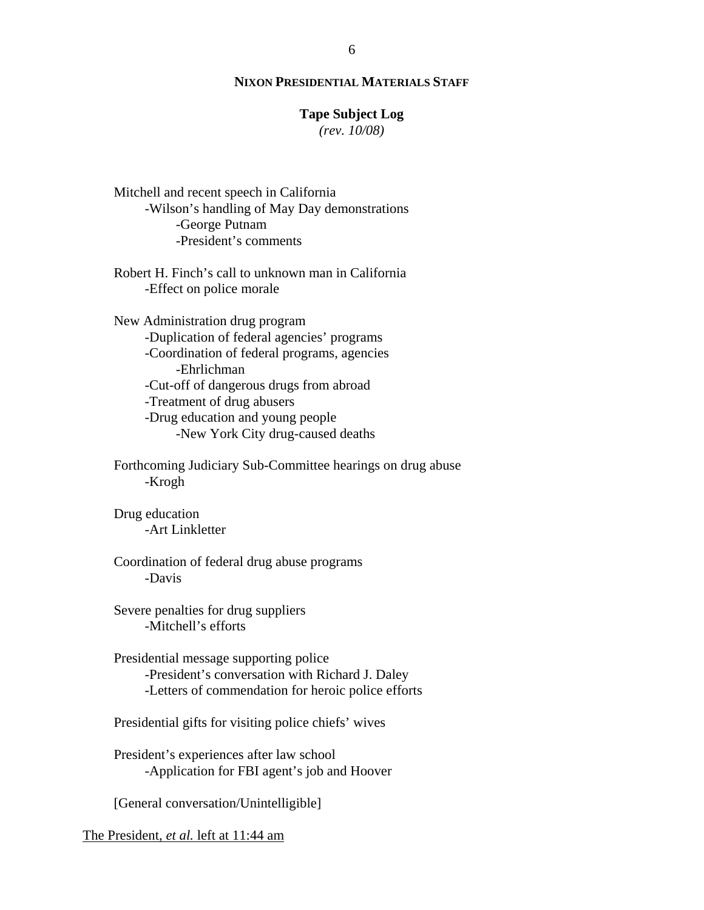## **Tape Subject Log**

*(rev. 10/08)*

 Mitchell and recent speech in California -Wilson's handling of May Day demonstrations -George Putnam -President's comments

 Robert H. Finch's call to unknown man in California -Effect on police morale

 New Administration drug program -Duplication of federal agencies' programs -Coordination of federal programs, agencies -Ehrlichman -Cut-off of dangerous drugs from abroad -Treatment of drug abusers -Drug education and young people -New York City drug-caused deaths

 Forthcoming Judiciary Sub-Committee hearings on drug abuse -Krogh

 Drug education -Art Linkletter

 Coordination of federal drug abuse programs -Davis

 Severe penalties for drug suppliers -Mitchell's efforts

 Presidential message supporting police -President's conversation with Richard J. Daley -Letters of commendation for heroic police efforts

Presidential gifts for visiting police chiefs' wives

 President's experiences after law school -Application for FBI agent's job and Hoover

[General conversation/Unintelligible]

The President, *et al.* left at 11:44 am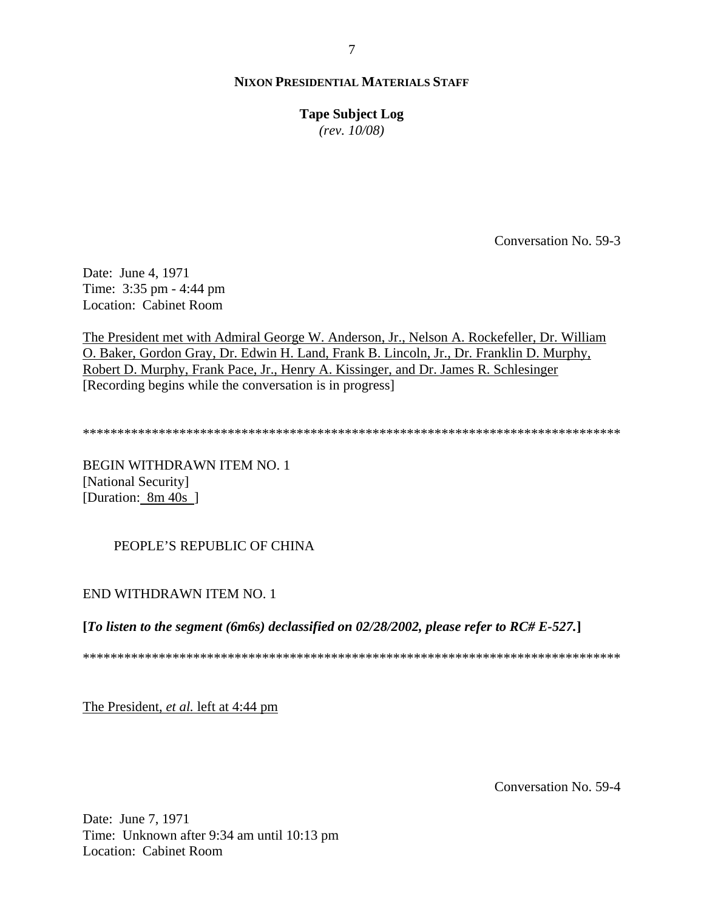**Tape Subject Log** *(rev. 10/08)*

Conversation No. 59-3

Date: June 4, 1971 Time: 3:35 pm - 4:44 pm Location: Cabinet Room

The President met with Admiral George W. Anderson, Jr., Nelson A. Rockefeller, Dr. William O. Baker, Gordon Gray, Dr. Edwin H. Land, Frank B. Lincoln, Jr., Dr. Franklin D. Murphy, Robert D. Murphy, Frank Pace, Jr., Henry A. Kissinger, and Dr. James R. Schlesinger [Recording begins while the conversation is in progress]

\*\*\*\*\*\*\*\*\*\*\*\*\*\*\*\*\*\*\*\*\*\*\*\*\*\*\*\*\*\*\*\*\*\*\*\*\*\*\*\*\*\*\*\*\*\*\*\*\*\*\*\*\*\*\*\*\*\*\*\*\*\*\*\*\*\*\*\*\*\*\*\*\*\*\*\*\*\*

BEGIN WITHDRAWN ITEM NO. 1 [National Security] [Duration: 8m 40s]

PEOPLE'S REPUBLIC OF CHINA

END WITHDRAWN ITEM NO. 1

**[***To listen to the segment (6m6s) declassified on 02/28/2002, please refer to RC# E-527.***]** 

\*\*\*\*\*\*\*\*\*\*\*\*\*\*\*\*\*\*\*\*\*\*\*\*\*\*\*\*\*\*\*\*\*\*\*\*\*\*\*\*\*\*\*\*\*\*\*\*\*\*\*\*\*\*\*\*\*\*\*\*\*\*\*\*\*\*\*\*\*\*\*\*\*\*\*\*\*\*

The President, *et al.* left at 4:44 pm

Conversation No. 59-4

Date: June 7, 1971 Time: Unknown after 9:34 am until 10:13 pm Location: Cabinet Room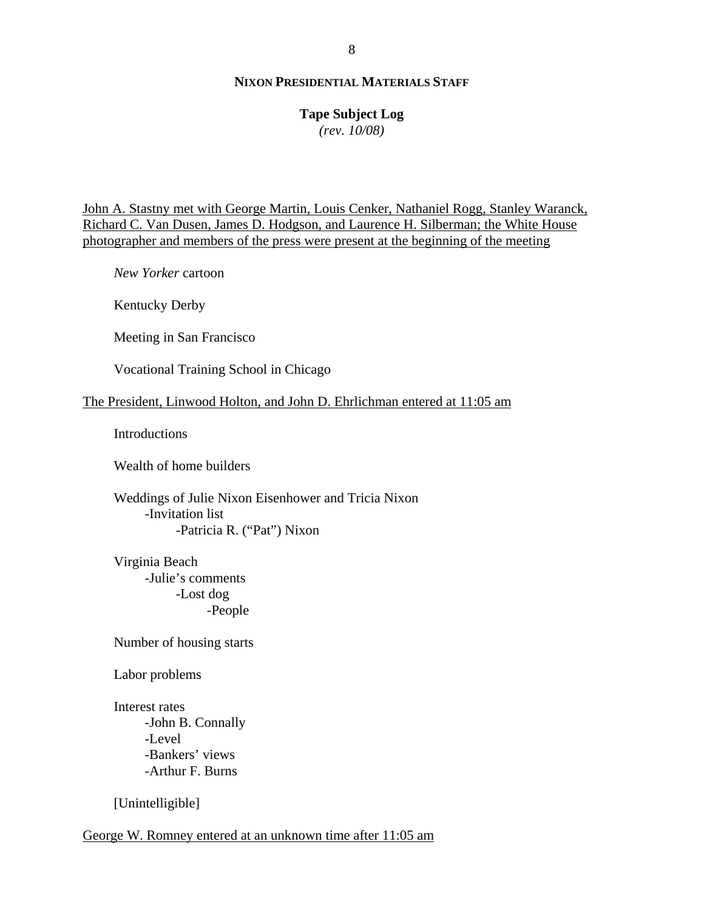# **Tape Subject Log**

*(rev. 10/08)*

John A. Stastny met with George Martin, Louis Cenker, Nathaniel Rogg, Stanley Waranck, Richard C. Van Dusen, James D. Hodgson, and Laurence H. Silberman; the White House photographer and members of the press were present at the beginning of the meeting

 *New Yorker* cartoon

Kentucky Derby

Meeting in San Francisco

Vocational Training School in Chicago

# The President, Linwood Holton, and John D. Ehrlichman entered at 11:05 am

Introductions

Wealth of home builders

 Weddings of Julie Nixon Eisenhower and Tricia Nixon -Invitation list -Patricia R. ("Pat") Nixon

 Virginia Beach -Julie's comments -Lost dog -People

Number of housing starts

Labor problems

 Interest rates -John B. Connally -Level -Bankers' views -Arthur F. Burns

[Unintelligible]

George W. Romney entered at an unknown time after 11:05 am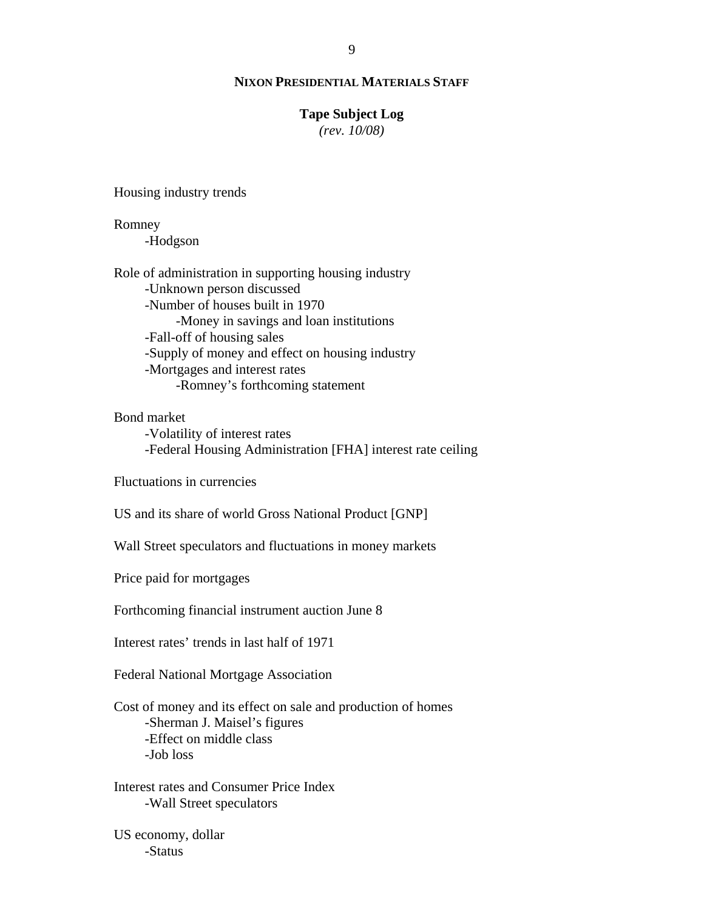## **Tape Subject Log**

*(rev. 10/08)*

Housing industry trends

 Romney -Hodgson Role of administration in supporting housing industry -Unknown person discussed -Number of houses built in 1970 -Money in savings and loan institutions -Fall-off of housing sales -Supply of money and effect on housing industry -Mortgages and interest rates -Romney's forthcoming statement

Bond market

 -Volatility of interest rates -Federal Housing Administration [FHA] interest rate ceiling

Fluctuations in currencies

US and its share of world Gross National Product [GNP]

Wall Street speculators and fluctuations in money markets

Price paid for mortgages

Forthcoming financial instrument auction June 8

Interest rates' trends in last half of 1971

Federal National Mortgage Association

 Cost of money and its effect on sale and production of homes -Sherman J. Maisel's figures -Effect on middle class -Job loss

 Interest rates and Consumer Price Index -Wall Street speculators

 US economy, dollar -Status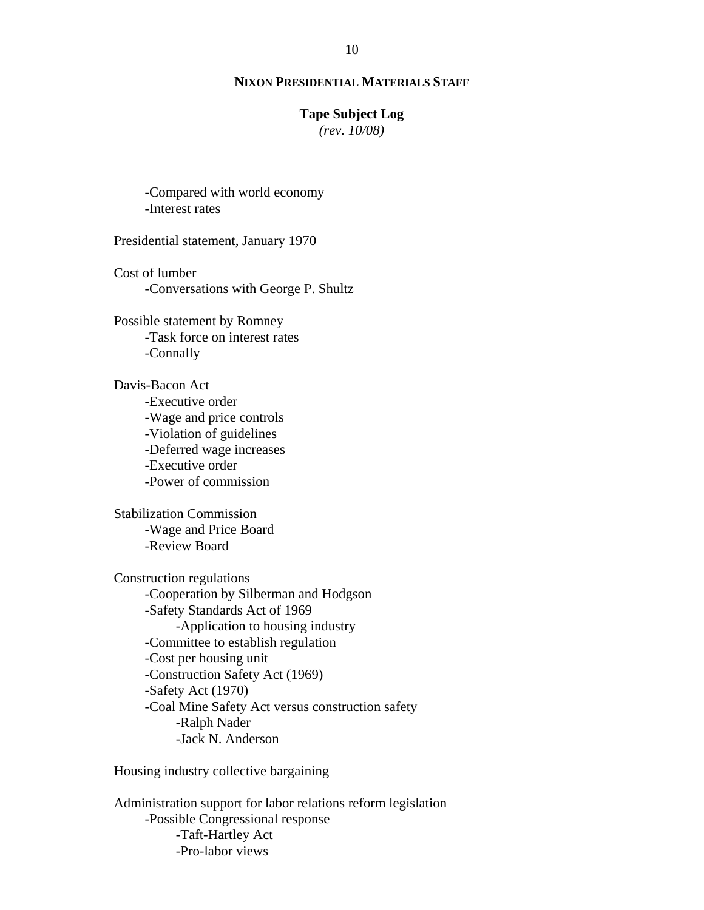## **Tape Subject Log**

*(rev. 10/08)*

 -Compared with world economy -Interest rates

Presidential statement, January 1970

 Cost of lumber -Conversations with George P. Shultz

 Possible statement by Romney -Task force on interest rates -Connally

 Davis-Bacon Act -Executive order -Wage and price controls -Violation of guidelines -Deferred wage increases -Executive order -Power of commission

 Stabilization Commission -Wage and Price Board -Review Board

 Construction regulations -Cooperation by Silberman and Hodgson -Safety Standards Act of 1969 -Application to housing industry -Committee to establish regulation -Cost per housing unit -Construction Safety Act (1969) -Safety Act (1970) -Coal Mine Safety Act versus construction safety -Ralph Nader -Jack N. Anderson

Housing industry collective bargaining

 Administration support for labor relations reform legislation -Possible Congressional response -Taft-Hartley Act -Pro-labor views